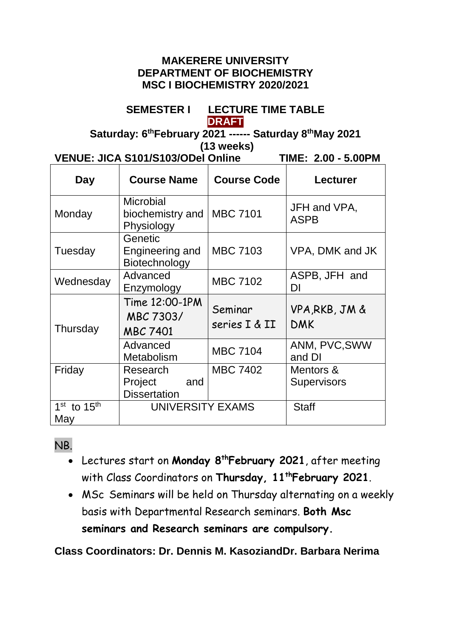#### **MAKERERE UNIVERSITY DEPARTMENT OF BIOCHEMISTRY MSC I BIOCHEMISTRY 2020/2021**

#### **SEMESTER I LECTURE TIME TABLE DRAFT**

**Saturday: 6 thFebruary 2021 ------ Saturday 8 thMay 2021 (13 weeks)**

**VENUE: JICA S101/S103/ODel Online TIME: 2.00 - 5.00PM**

| Day                    | <b>Course Name</b>                                 | <b>Course Code</b>       | Lecturer                        |
|------------------------|----------------------------------------------------|--------------------------|---------------------------------|
| Monday                 | <b>Microbial</b><br>biochemistry and<br>Physiology | <b>MBC 7101</b>          | JFH and VPA,<br><b>ASPB</b>     |
| Tuesday                | Genetic<br>Engineering and<br>Biotechnology        | <b>MBC 7103</b>          | VPA, DMK and JK                 |
| Wednesday              | Advanced<br>Enzymology                             | <b>MBC 7102</b>          | ASPB, JFH and<br>DI             |
| Thursday               | Time 12:00-1PM<br>MBC 7303/<br><b>MBC 7401</b>     | Seminar<br>series I & II | VPA, RKB, JM &<br><b>DMK</b>    |
|                        | Advanced<br>Metabolism                             | <b>MBC 7104</b>          | ANM, PVC, SWW<br>and DI         |
| Friday                 | Research<br>Project<br>and<br><b>Dissertation</b>  | <b>MBC 7402</b>          | Mentors &<br><b>Supervisors</b> |
| $1st$ to $15th$<br>May | UNIVERSITY EXAMS                                   |                          | <b>Staff</b>                    |

# NB.

- Lectures start on **Monday 8 thFebruary 2021**, after meeting with Class Coordinators on **Thursday, 11 thFebruary 2021**.
- MSc Seminars will be held on Thursday alternating on a weekly basis with Departmental Research seminars. **Both Msc seminars and Research seminars are compulsory.**

**Class Coordinators: Dr. Dennis M. KasoziandDr. Barbara Nerima**